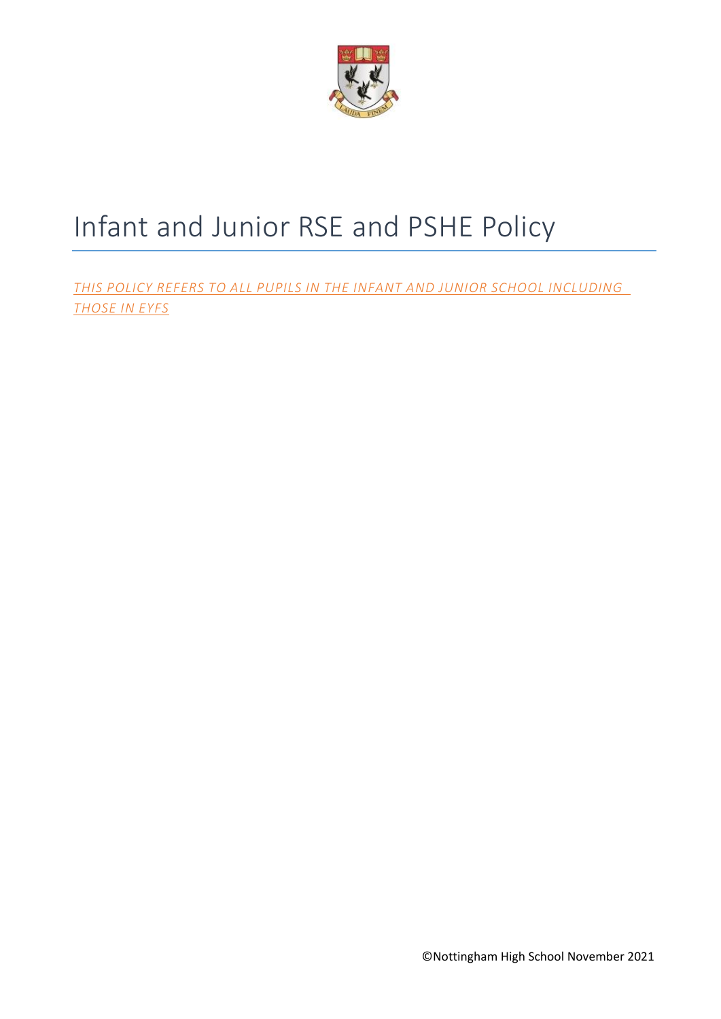

# Infant and Junior RSE and PSHE Policy

*THIS POLICY REFERS TO ALL PUPILS IN THE INFANT AND JUNIOR SCHOOL INCLUDING THOSE IN EYFS*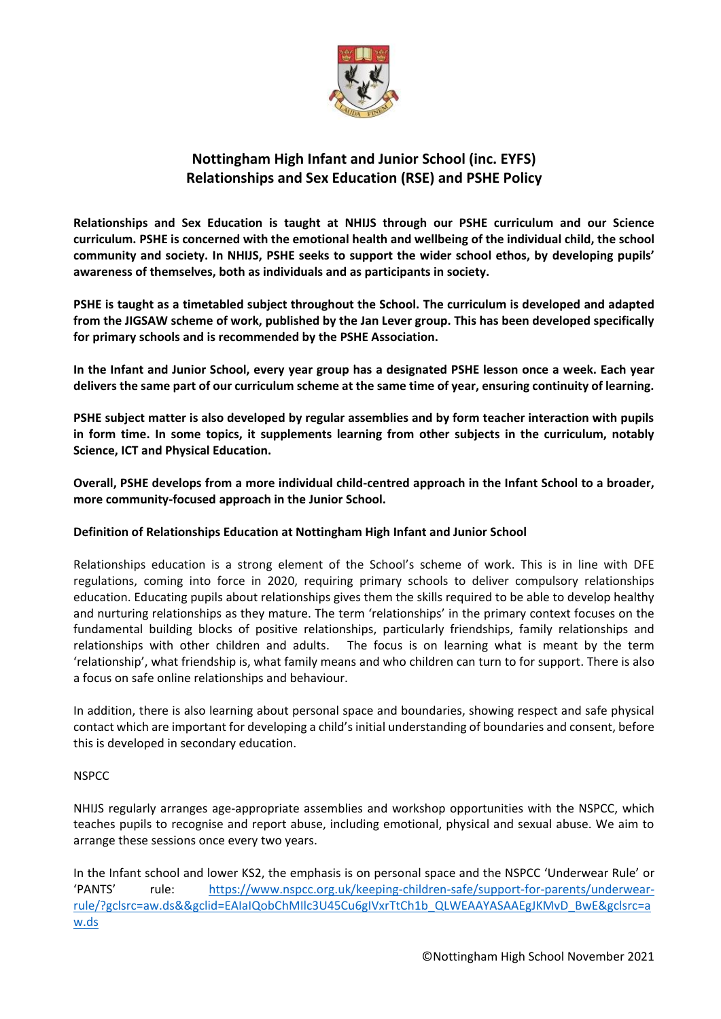

# **Nottingham High Infant and Junior School (inc. EYFS) Relationships and Sex Education (RSE) and PSHE Policy**

**Relationships and Sex Education is taught at NHIJS through our PSHE curriculum and our Science curriculum. PSHE is concerned with the emotional health and wellbeing of the individual child, the school community and society. In NHIJS, PSHE seeks to support the wider school ethos, by developing pupils' awareness of themselves, both as individuals and as participants in society.** 

**PSHE is taught as a timetabled subject throughout the School. The curriculum is developed and adapted from the JIGSAW scheme of work, published by the Jan Lever group. This has been developed specifically for primary schools and is recommended by the PSHE Association.** 

**In the Infant and Junior School, every year group has a designated PSHE lesson once a week. Each year delivers the same part of our curriculum scheme at the same time of year, ensuring continuity of learning.** 

**PSHE subject matter is also developed by regular assemblies and by form teacher interaction with pupils in form time. In some topics, it supplements learning from other subjects in the curriculum, notably Science, ICT and Physical Education.**

**Overall, PSHE develops from a more individual child-centred approach in the Infant School to a broader, more community-focused approach in the Junior School.**

# **Definition of Relationships Education at Nottingham High Infant and Junior School**

Relationships education is a strong element of the School's scheme of work. This is in line with DFE regulations, coming into force in 2020, requiring primary schools to deliver compulsory relationships education. Educating pupils about relationships gives them the skills required to be able to develop healthy and nurturing relationships as they mature. The term 'relationships' in the primary context focuses on the fundamental building blocks of positive relationships, particularly friendships, family relationships and relationships with other children and adults. The focus is on learning what is meant by the term 'relationship', what friendship is, what family means and who children can turn to for support. There is also a focus on safe online relationships and behaviour.

In addition, there is also learning about personal space and boundaries, showing respect and safe physical contact which are important for developing a child's initial understanding of boundaries and consent, before this is developed in secondary education.

#### **NSPCC**

NHIJS regularly arranges age-appropriate assemblies and workshop opportunities with the NSPCC, which teaches pupils to recognise and report abuse, including emotional, physical and sexual abuse. We aim to arrange these sessions once every two years.

In the Infant school and lower KS2, the emphasis is on personal space and the NSPCC 'Underwear Rule' or 'PANTS' rule: [https://www.nspcc.org.uk/keeping-children-safe/support-for-parents/underwear](https://www.nspcc.org.uk/keeping-children-safe/support-for-parents/underwear-rule/?gclsrc=aw.ds&&gclid=EAIaIQobChMIlc3U45Cu6gIVxrTtCh1b_QLWEAAYASAAEgJKMvD_BwE&gclsrc=aw.ds)[rule/?gclsrc=aw.ds&&gclid=EAIaIQobChMIlc3U45Cu6gIVxrTtCh1b\\_QLWEAAYASAAEgJKMvD\\_BwE&gclsrc=a](https://www.nspcc.org.uk/keeping-children-safe/support-for-parents/underwear-rule/?gclsrc=aw.ds&&gclid=EAIaIQobChMIlc3U45Cu6gIVxrTtCh1b_QLWEAAYASAAEgJKMvD_BwE&gclsrc=aw.ds) [w.ds](https://www.nspcc.org.uk/keeping-children-safe/support-for-parents/underwear-rule/?gclsrc=aw.ds&&gclid=EAIaIQobChMIlc3U45Cu6gIVxrTtCh1b_QLWEAAYASAAEgJKMvD_BwE&gclsrc=aw.ds)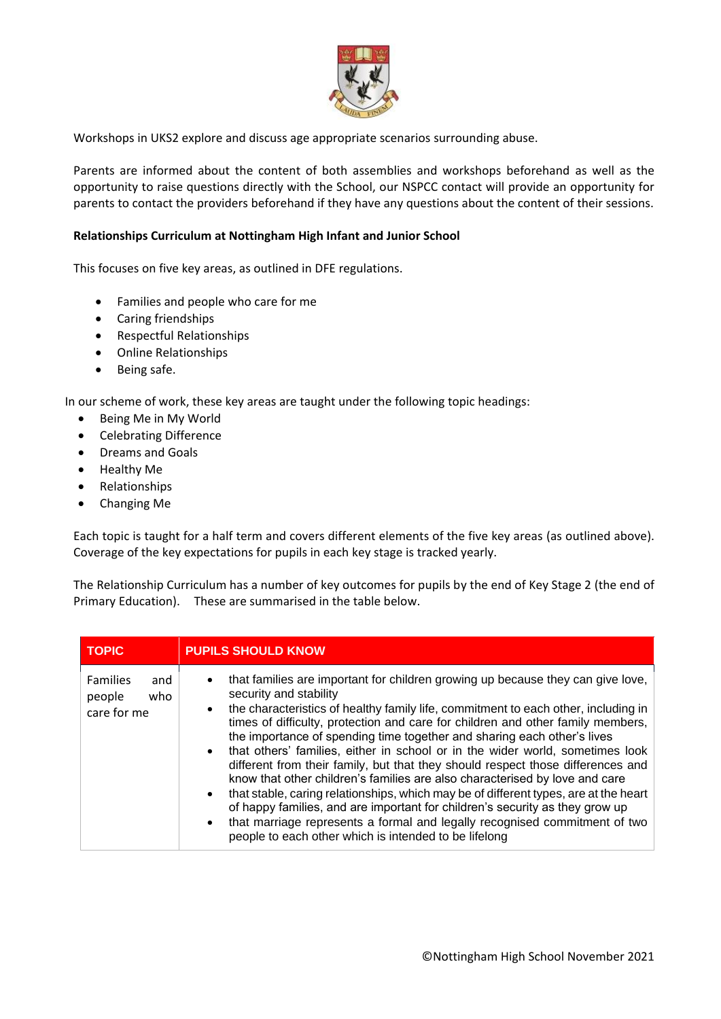

Workshops in UKS2 explore and discuss age appropriate scenarios surrounding abuse.

Parents are informed about the content of both assemblies and workshops beforehand as well as the opportunity to raise questions directly with the School, our NSPCC contact will provide an opportunity for parents to contact the providers beforehand if they have any questions about the content of their sessions.

#### **Relationships Curriculum at Nottingham High Infant and Junior School**

This focuses on five key areas, as outlined in DFE regulations.

- Families and people who care for me
- Caring friendships
- Respectful Relationships
- Online Relationships
- Being safe.

In our scheme of work, these key areas are taught under the following topic headings:

- Being Me in My World
- Celebrating Difference
- Dreams and Goals
- Healthy Me
- Relationships
- Changing Me

Each topic is taught for a half term and covers different elements of the five key areas (as outlined above). Coverage of the key expectations for pupils in each key stage is tracked yearly.

The Relationship Curriculum has a number of key outcomes for pupils by the end of Key Stage 2 (the end of Primary Education). These are summarised in the table below.

| <b>TOPIC</b>                                           | <b>PUPILS SHOULD KNOW</b>                                                                                                                                                                                                                                                                                                                                                                                                                                                                                                                                                                                                                                                                                                                                                                                                                                                                                                         |
|--------------------------------------------------------|-----------------------------------------------------------------------------------------------------------------------------------------------------------------------------------------------------------------------------------------------------------------------------------------------------------------------------------------------------------------------------------------------------------------------------------------------------------------------------------------------------------------------------------------------------------------------------------------------------------------------------------------------------------------------------------------------------------------------------------------------------------------------------------------------------------------------------------------------------------------------------------------------------------------------------------|
| <b>Families</b><br>and<br>who<br>people<br>care for me | that families are important for children growing up because they can give love,<br>security and stability<br>the characteristics of healthy family life, commitment to each other, including in<br>times of difficulty, protection and care for children and other family members,<br>the importance of spending time together and sharing each other's lives<br>• that others' families, either in school or in the wider world, sometimes look<br>different from their family, but that they should respect those differences and<br>know that other children's families are also characterised by love and care<br>that stable, caring relationships, which may be of different types, are at the heart<br>of happy families, and are important for children's security as they grow up<br>that marriage represents a formal and legally recognised commitment of two<br>people to each other which is intended to be lifelong |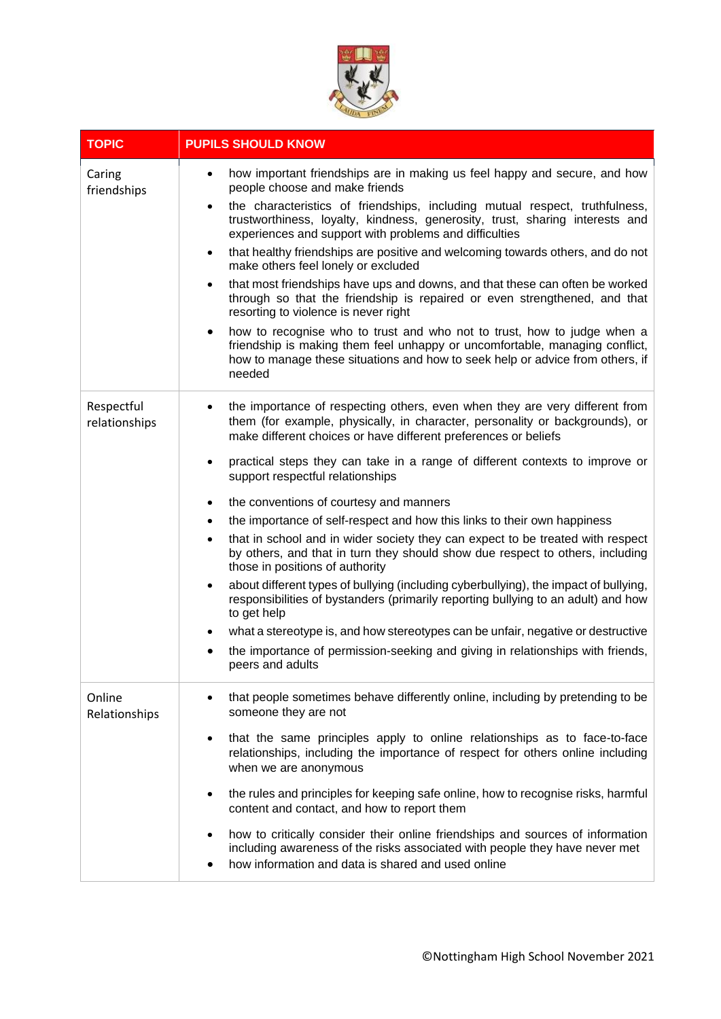

| <b>TOPIC</b>                | <b>PUPILS SHOULD KNOW</b>                                                                                                                                                                                                                                                                                                                                                                                                                                                                                                                                                                                                                                                                                                                                                                              |
|-----------------------------|--------------------------------------------------------------------------------------------------------------------------------------------------------------------------------------------------------------------------------------------------------------------------------------------------------------------------------------------------------------------------------------------------------------------------------------------------------------------------------------------------------------------------------------------------------------------------------------------------------------------------------------------------------------------------------------------------------------------------------------------------------------------------------------------------------|
| Caring<br>friendships       | how important friendships are in making us feel happy and secure, and how<br>$\bullet$<br>people choose and make friends<br>the characteristics of friendships, including mutual respect, truthfulness,<br>$\bullet$<br>trustworthiness, loyalty, kindness, generosity, trust, sharing interests and<br>experiences and support with problems and difficulties<br>that healthy friendships are positive and welcoming towards others, and do not<br>$\bullet$<br>make others feel lonely or excluded<br>that most friendships have ups and downs, and that these can often be worked<br>٠<br>through so that the friendship is repaired or even strengthened, and that<br>resorting to violence is never right<br>how to recognise who to trust and who not to trust, how to judge when a<br>$\bullet$ |
|                             | friendship is making them feel unhappy or uncomfortable, managing conflict,<br>how to manage these situations and how to seek help or advice from others, if<br>needed                                                                                                                                                                                                                                                                                                                                                                                                                                                                                                                                                                                                                                 |
| Respectful<br>relationships | the importance of respecting others, even when they are very different from<br>them (for example, physically, in character, personality or backgrounds), or<br>make different choices or have different preferences or beliefs                                                                                                                                                                                                                                                                                                                                                                                                                                                                                                                                                                         |
|                             | practical steps they can take in a range of different contexts to improve or<br>$\bullet$<br>support respectful relationships                                                                                                                                                                                                                                                                                                                                                                                                                                                                                                                                                                                                                                                                          |
|                             | the conventions of courtesy and manners<br>$\bullet$                                                                                                                                                                                                                                                                                                                                                                                                                                                                                                                                                                                                                                                                                                                                                   |
|                             | the importance of self-respect and how this links to their own happiness<br>$\bullet$                                                                                                                                                                                                                                                                                                                                                                                                                                                                                                                                                                                                                                                                                                                  |
|                             | that in school and in wider society they can expect to be treated with respect<br>$\bullet$<br>by others, and that in turn they should show due respect to others, including<br>those in positions of authority                                                                                                                                                                                                                                                                                                                                                                                                                                                                                                                                                                                        |
|                             | about different types of bullying (including cyberbullying), the impact of bullying,<br>$\bullet$<br>responsibilities of bystanders (primarily reporting bullying to an adult) and how<br>to get help                                                                                                                                                                                                                                                                                                                                                                                                                                                                                                                                                                                                  |
|                             | what a stereotype is, and how stereotypes can be unfair, negative or destructive                                                                                                                                                                                                                                                                                                                                                                                                                                                                                                                                                                                                                                                                                                                       |
|                             | the importance of permission-seeking and giving in relationships with friends,<br>peers and adults                                                                                                                                                                                                                                                                                                                                                                                                                                                                                                                                                                                                                                                                                                     |
| Online<br>Relationships     | that people sometimes behave differently online, including by pretending to be<br>someone they are not                                                                                                                                                                                                                                                                                                                                                                                                                                                                                                                                                                                                                                                                                                 |
|                             | that the same principles apply to online relationships as to face-to-face<br>$\bullet$<br>relationships, including the importance of respect for others online including<br>when we are anonymous                                                                                                                                                                                                                                                                                                                                                                                                                                                                                                                                                                                                      |
|                             | the rules and principles for keeping safe online, how to recognise risks, harmful<br>$\bullet$<br>content and contact, and how to report them                                                                                                                                                                                                                                                                                                                                                                                                                                                                                                                                                                                                                                                          |
|                             | how to critically consider their online friendships and sources of information<br>including awareness of the risks associated with people they have never met<br>how information and data is shared and used online                                                                                                                                                                                                                                                                                                                                                                                                                                                                                                                                                                                    |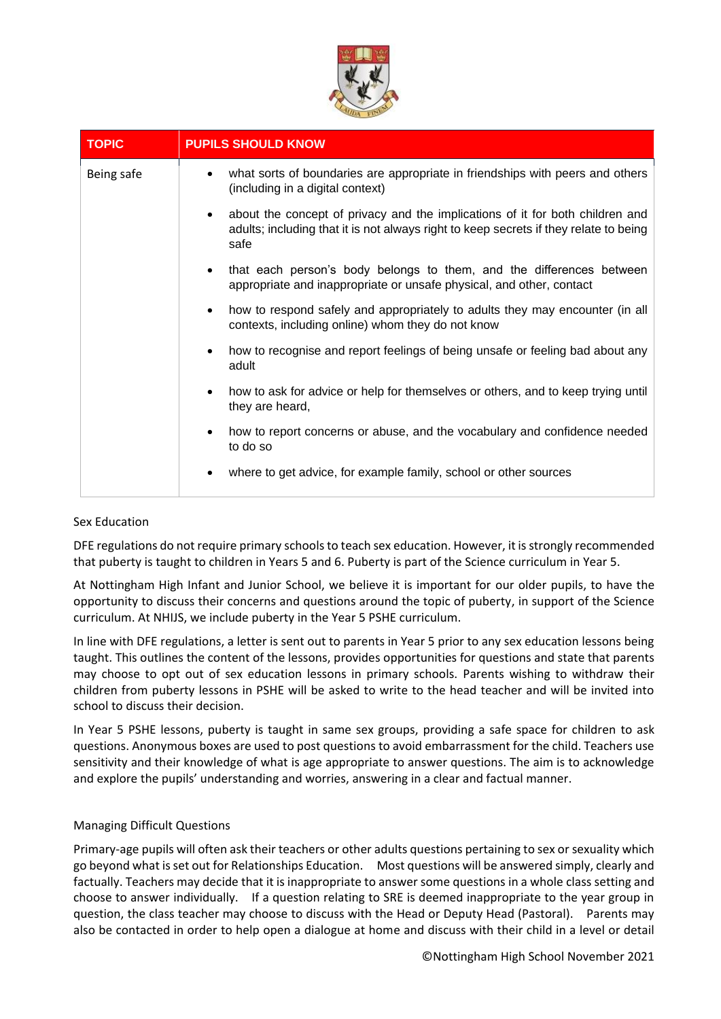

| <b>TOPIC</b> | <b>PUPILS SHOULD KNOW</b>                                                                                                                                                      |
|--------------|--------------------------------------------------------------------------------------------------------------------------------------------------------------------------------|
| Being safe   | what sorts of boundaries are appropriate in friendships with peers and others<br>(including in a digital context)                                                              |
|              | about the concept of privacy and the implications of it for both children and<br>adults; including that it is not always right to keep secrets if they relate to being<br>safe |
|              | that each person's body belongs to them, and the differences between<br>appropriate and inappropriate or unsafe physical, and other, contact                                   |
|              | how to respond safely and appropriately to adults they may encounter (in all<br>contexts, including online) whom they do not know                                              |
|              | how to recognise and report feelings of being unsafe or feeling bad about any<br>adult                                                                                         |
|              | how to ask for advice or help for themselves or others, and to keep trying until<br>they are heard,                                                                            |
|              | how to report concerns or abuse, and the vocabulary and confidence needed<br>to do so                                                                                          |
|              | where to get advice, for example family, school or other sources                                                                                                               |

# Sex Education

DFE regulations do not require primary schools to teach sex education. However, it is strongly recommended that puberty is taught to children in Years 5 and 6. Puberty is part of the Science curriculum in Year 5.

At Nottingham High Infant and Junior School, we believe it is important for our older pupils, to have the opportunity to discuss their concerns and questions around the topic of puberty, in support of the Science curriculum. At NHIJS, we include puberty in the Year 5 PSHE curriculum.

In line with DFE regulations, a letter is sent out to parents in Year 5 prior to any sex education lessons being taught. This outlines the content of the lessons, provides opportunities for questions and state that parents may choose to opt out of sex education lessons in primary schools. Parents wishing to withdraw their children from puberty lessons in PSHE will be asked to write to the head teacher and will be invited into school to discuss their decision.

In Year 5 PSHE lessons, puberty is taught in same sex groups, providing a safe space for children to ask questions. Anonymous boxes are used to post questions to avoid embarrassment for the child. Teachers use sensitivity and their knowledge of what is age appropriate to answer questions. The aim is to acknowledge and explore the pupils' understanding and worries, answering in a clear and factual manner.

#### Managing Difficult Questions

Primary-age pupils will often ask their teachers or other adults questions pertaining to sex or sexuality which go beyond what is set out for Relationships Education. Most questions will be answered simply, clearly and factually. Teachers may decide that it is inappropriate to answer some questions in a whole class setting and choose to answer individually. If a question relating to SRE is deemed inappropriate to the year group in question, the class teacher may choose to discuss with the Head or Deputy Head (Pastoral). Parents may also be contacted in order to help open a dialogue at home and discuss with their child in a level or detail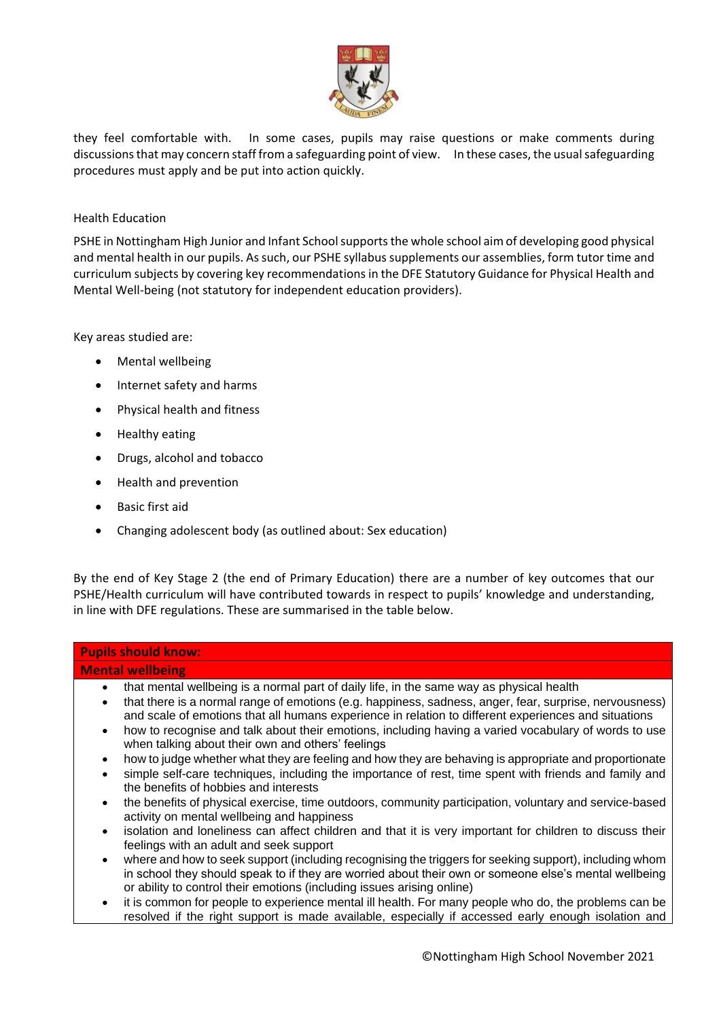

they feel comfortable with. In some cases, pupils may raise questions or make comments during discussions that may concern staff from a safeguarding point of view. In these cases, the usual safeguarding procedures must apply and be put into action quickly.

#### Health Education

PSHE in Nottingham High Junior and Infant School supports the whole school aim of developing good physical and mental health in our pupils. As such, our PSHE syllabus supplements our assemblies, form tutor time and curriculum subjects by covering key recommendations in the DFE Statutory Guidance for Physical Health and Mental Well-being (not statutory for independent education providers).

Key areas studied are:

- Mental wellbeing
- Internet safety and harms
- Physical health and fitness
- Healthy eating
- Drugs, alcohol and tobacco
- Health and prevention
- Basic first aid
- Changing adolescent body (as outlined about: Sex education)

By the end of Key Stage 2 (the end of Primary Education) there are a number of key outcomes that our PSHE/Health curriculum will have contributed towards in respect to pupils' knowledge and understanding, in line with DFE regulations. These are summarised in the table below.

| <b>Pupils should know:</b>                                                                                                                                                                                                                                                                                                                                                                                                                                                                                     |  |  |
|----------------------------------------------------------------------------------------------------------------------------------------------------------------------------------------------------------------------------------------------------------------------------------------------------------------------------------------------------------------------------------------------------------------------------------------------------------------------------------------------------------------|--|--|
| <b>Mental wellbeing</b>                                                                                                                                                                                                                                                                                                                                                                                                                                                                                        |  |  |
| that mental wellbeing is a normal part of daily life, in the same way as physical health<br>$\bullet$<br>that there is a normal range of emotions (e.g. happiness, sadness, anger, fear, surprise, nervousness)<br>$\bullet$<br>and scale of emotions that all humans experience in relation to different experiences and situations<br>how to recognise and talk about their emotions, including having a varied vocabulary of words to use<br>$\bullet$<br>when talking about their own and others' feelings |  |  |
| how to judge whether what they are feeling and how they are behaving is appropriate and proportionate<br>$\bullet$<br>simple self-care techniques, including the importance of rest, time spent with friends and family and<br>$\bullet$<br>the benefits of hobbies and interests                                                                                                                                                                                                                              |  |  |
| the benefits of physical exercise, time outdoors, community participation, voluntary and service-based<br>$\bullet$<br>activity on mental wellbeing and happiness                                                                                                                                                                                                                                                                                                                                              |  |  |
| isolation and loneliness can affect children and that it is very important for children to discuss their<br>$\bullet$<br>feelings with an adult and seek support                                                                                                                                                                                                                                                                                                                                               |  |  |
| where and how to seek support (including recognising the triggers for seeking support), including whom<br>$\bullet$<br>in school they should speak to if they are worried about their own or someone else's mental wellbeing<br>or ability to control their emotions (including issues arising online)                                                                                                                                                                                                         |  |  |
| it is common for people to experience mental ill health. For many people who do, the problems can be<br>$\bullet$<br>resolved if the right support is made available, especially if accessed early enough isolation and                                                                                                                                                                                                                                                                                        |  |  |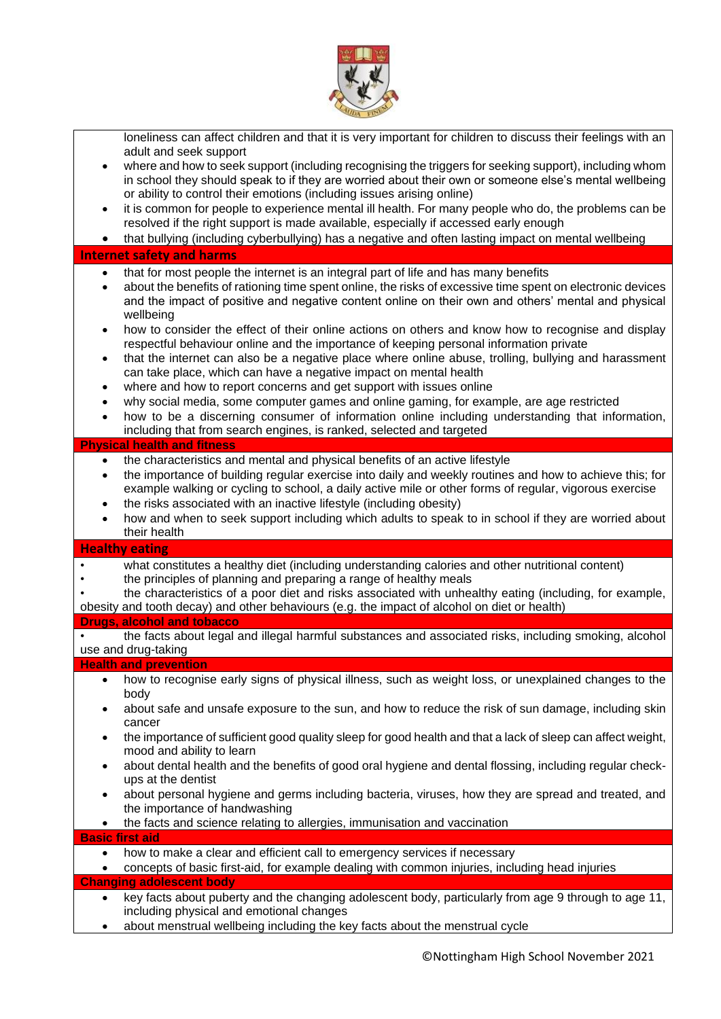

| loneliness can affect children and that it is very important for children to discuss their feelings with an<br>adult and seek support<br>where and how to seek support (including recognising the triggers for seeking support), including whom<br>٠<br>in school they should speak to if they are worried about their own or someone else's mental wellbeing<br>or ability to control their emotions (including issues arising online)<br>it is common for people to experience mental ill health. For many people who do, the problems can be<br>٠<br>resolved if the right support is made available, especially if accessed early enough<br>that bullying (including cyberbullying) has a negative and often lasting impact on mental wellbeing<br>٠                                                                                                                                                                                                                                                                                                                                                                                                                          |
|-----------------------------------------------------------------------------------------------------------------------------------------------------------------------------------------------------------------------------------------------------------------------------------------------------------------------------------------------------------------------------------------------------------------------------------------------------------------------------------------------------------------------------------------------------------------------------------------------------------------------------------------------------------------------------------------------------------------------------------------------------------------------------------------------------------------------------------------------------------------------------------------------------------------------------------------------------------------------------------------------------------------------------------------------------------------------------------------------------------------------------------------------------------------------------------|
| <b>Internet safety and harms</b>                                                                                                                                                                                                                                                                                                                                                                                                                                                                                                                                                                                                                                                                                                                                                                                                                                                                                                                                                                                                                                                                                                                                                  |
| that for most people the internet is an integral part of life and has many benefits<br>$\bullet$<br>about the benefits of rationing time spent online, the risks of excessive time spent on electronic devices<br>$\bullet$<br>and the impact of positive and negative content online on their own and others' mental and physical<br>wellbeing<br>how to consider the effect of their online actions on others and know how to recognise and display<br>$\bullet$<br>respectful behaviour online and the importance of keeping personal information private<br>that the internet can also be a negative place where online abuse, trolling, bullying and harassment<br>$\bullet$<br>can take place, which can have a negative impact on mental health<br>where and how to report concerns and get support with issues online<br>$\bullet$<br>why social media, some computer games and online gaming, for example, are age restricted<br>$\bullet$<br>how to be a discerning consumer of information online including understanding that information,<br>$\bullet$<br>including that from search engines, is ranked, selected and targeted<br><b>Physical health and fitness</b> |
| the characteristics and mental and physical benefits of an active lifestyle<br>$\bullet$                                                                                                                                                                                                                                                                                                                                                                                                                                                                                                                                                                                                                                                                                                                                                                                                                                                                                                                                                                                                                                                                                          |
| the importance of building regular exercise into daily and weekly routines and how to achieve this; for<br>$\bullet$<br>example walking or cycling to school, a daily active mile or other forms of regular, vigorous exercise<br>the risks associated with an inactive lifestyle (including obesity)<br>$\bullet$<br>how and when to seek support including which adults to speak to in school if they are worried about<br>$\bullet$<br>their health                                                                                                                                                                                                                                                                                                                                                                                                                                                                                                                                                                                                                                                                                                                            |
| <b>Healthy eating</b>                                                                                                                                                                                                                                                                                                                                                                                                                                                                                                                                                                                                                                                                                                                                                                                                                                                                                                                                                                                                                                                                                                                                                             |
| what constitutes a healthy diet (including understanding calories and other nutritional content)<br>the principles of planning and preparing a range of healthy meals<br>the characteristics of a poor diet and risks associated with unhealthy eating (including, for example,<br>obesity and tooth decay) and other behaviours (e.g. the impact of alcohol on diet or health)<br><b>Drugs, alcohol and tobacco</b>                                                                                                                                                                                                                                                                                                                                                                                                                                                                                                                                                                                                                                                                                                                                                              |
| the facts about legal and illegal harmful substances and associated risks, including smoking, alcohol<br>use and drug-taking                                                                                                                                                                                                                                                                                                                                                                                                                                                                                                                                                                                                                                                                                                                                                                                                                                                                                                                                                                                                                                                      |
| <b>Health and prevention</b>                                                                                                                                                                                                                                                                                                                                                                                                                                                                                                                                                                                                                                                                                                                                                                                                                                                                                                                                                                                                                                                                                                                                                      |
| how to recognise early signs of physical illness, such as weight loss, or unexplained changes to the<br>$\bullet$<br>body<br>about safe and unsafe exposure to the sun, and how to reduce the risk of sun damage, including skin<br>cancer<br>the importance of sufficient good quality sleep for good health and that a lack of sleep can affect weight,<br>mood and ability to learn<br>about dental health and the benefits of good oral hygiene and dental flossing, including regular check-<br>ups at the dentist<br>about personal hygiene and germs including bacteria, viruses, how they are spread and treated, and<br>$\bullet$                                                                                                                                                                                                                                                                                                                                                                                                                                                                                                                                        |
| the importance of handwashing<br>the facts and science relating to allergies, immunisation and vaccination<br><b>Basic first aid</b><br>$\bullet$                                                                                                                                                                                                                                                                                                                                                                                                                                                                                                                                                                                                                                                                                                                                                                                                                                                                                                                                                                                                                                 |
| how to make a clear and efficient call to emergency services if necessary                                                                                                                                                                                                                                                                                                                                                                                                                                                                                                                                                                                                                                                                                                                                                                                                                                                                                                                                                                                                                                                                                                         |
| concepts of basic first-aid, for example dealing with common injuries, including head injuries<br><b>Changing adolescent body</b>                                                                                                                                                                                                                                                                                                                                                                                                                                                                                                                                                                                                                                                                                                                                                                                                                                                                                                                                                                                                                                                 |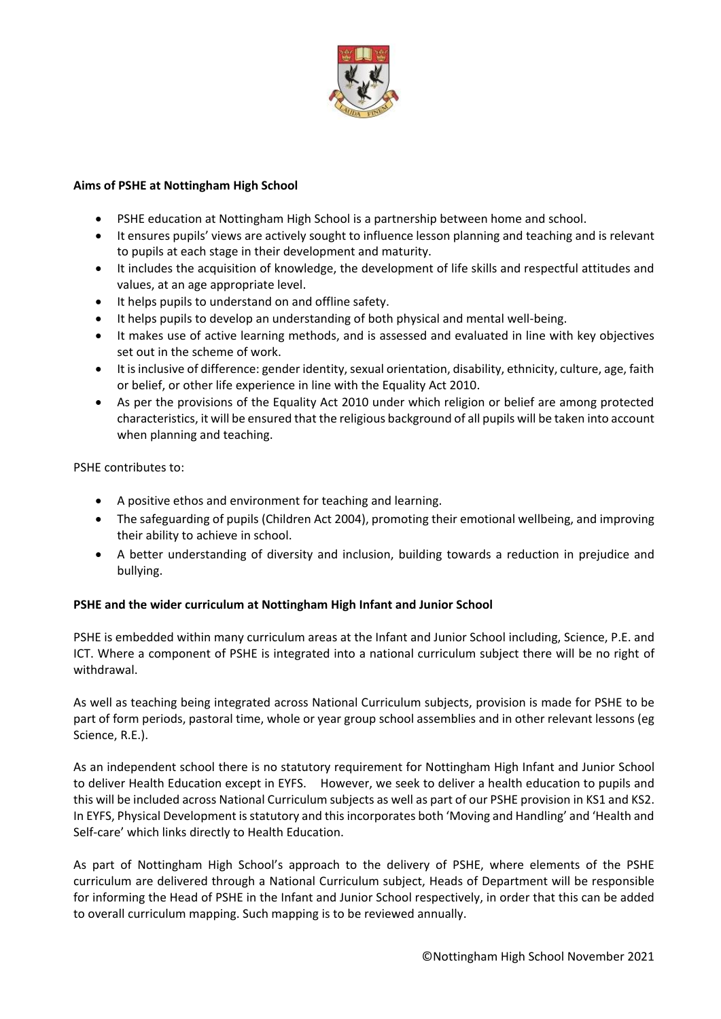

#### **Aims of PSHE at Nottingham High School**

- PSHE education at Nottingham High School is a partnership between home and school.
- It ensures pupils' views are actively sought to influence lesson planning and teaching and is relevant to pupils at each stage in their development and maturity.
- It includes the acquisition of knowledge, the development of life skills and respectful attitudes and values, at an age appropriate level.
- It helps pupils to understand on and offline safety.
- It helps pupils to develop an understanding of both physical and mental well-being.
- It makes use of active learning methods, and is assessed and evaluated in line with key objectives set out in the scheme of work.
- It is inclusive of difference: gender identity, sexual orientation, disability, ethnicity, culture, age, faith or belief, or other life experience in line with the Equality Act 2010.
- As per the provisions of the Equality Act 2010 under which religion or belief are among protected characteristics, it will be ensured that the religious background of all pupils will be taken into account when planning and teaching.

PSHE contributes to:

- A positive ethos and environment for teaching and learning.
- The safeguarding of pupils (Children Act 2004), promoting their emotional wellbeing, and improving their ability to achieve in school.
- A better understanding of diversity and inclusion, building towards a reduction in prejudice and bullying.

# **PSHE and the wider curriculum at Nottingham High Infant and Junior School**

PSHE is embedded within many curriculum areas at the Infant and Junior School including, Science, P.E. and ICT. Where a component of PSHE is integrated into a national curriculum subject there will be no right of withdrawal.

As well as teaching being integrated across National Curriculum subjects, provision is made for PSHE to be part of form periods, pastoral time, whole or year group school assemblies and in other relevant lessons (eg Science, R.E.).

As an independent school there is no statutory requirement for Nottingham High Infant and Junior School to deliver Health Education except in EYFS. However, we seek to deliver a health education to pupils and this will be included across National Curriculum subjects as well as part of our PSHE provision in KS1 and KS2. In EYFS, Physical Development is statutory and this incorporates both 'Moving and Handling' and 'Health and Self-care' which links directly to Health Education.

As part of Nottingham High School's approach to the delivery of PSHE, where elements of the PSHE curriculum are delivered through a National Curriculum subject, Heads of Department will be responsible for informing the Head of PSHE in the Infant and Junior School respectively, in order that this can be added to overall curriculum mapping. Such mapping is to be reviewed annually.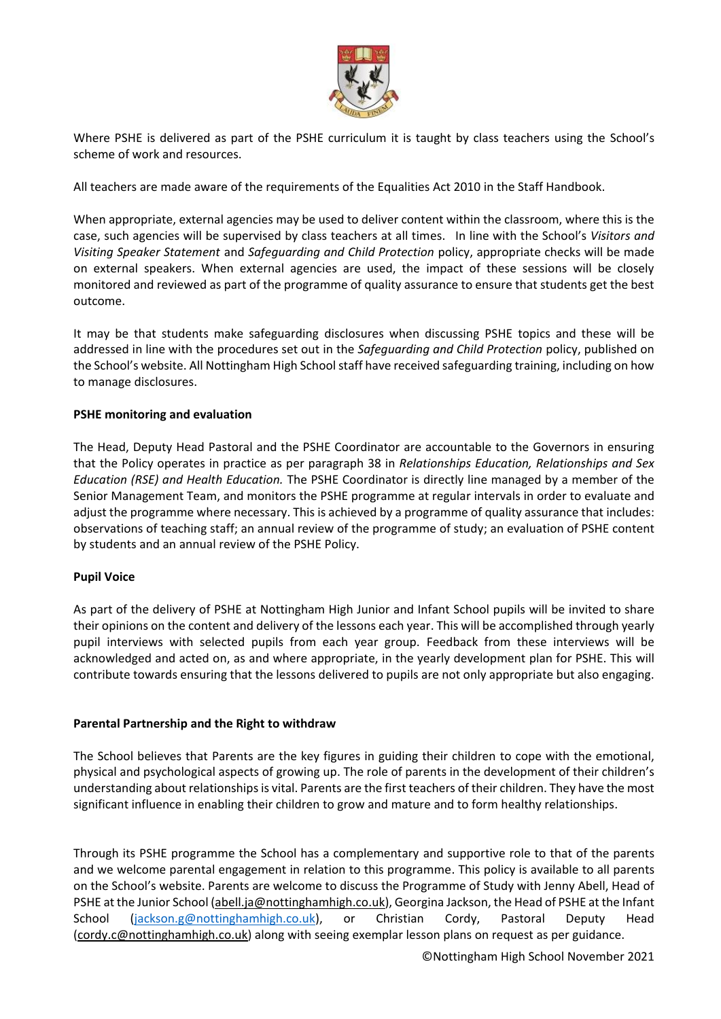

Where PSHE is delivered as part of the PSHE curriculum it is taught by class teachers using the School's scheme of work and resources.

All teachers are made aware of the requirements of the Equalities Act 2010 in the Staff Handbook.

When appropriate, external agencies may be used to deliver content within the classroom, where this is the case, such agencies will be supervised by class teachers at all times. In line with the School's *Visitors and Visiting Speaker Statement* and *Safeguarding and Child Protection* policy, appropriate checks will be made on external speakers. When external agencies are used, the impact of these sessions will be closely monitored and reviewed as part of the programme of quality assurance to ensure that students get the best outcome.

It may be that students make safeguarding disclosures when discussing PSHE topics and these will be addressed in line with the procedures set out in the *Safeguarding and Child Protection* policy, published on the School's website. All Nottingham High School staff have received safeguarding training, including on how to manage disclosures.

#### **PSHE monitoring and evaluation**

The Head, Deputy Head Pastoral and the PSHE Coordinator are accountable to the Governors in ensuring that the Policy operates in practice as per paragraph 38 in *Relationships Education, Relationships and Sex Education (RSE) and Health Education.* The PSHE Coordinator is directly line managed by a member of the Senior Management Team, and monitors the PSHE programme at regular intervals in order to evaluate and adjust the programme where necessary. This is achieved by a programme of quality assurance that includes: observations of teaching staff; an annual review of the programme of study; an evaluation of PSHE content by students and an annual review of the PSHE Policy.

# **Pupil Voice**

As part of the delivery of PSHE at Nottingham High Junior and Infant School pupils will be invited to share their opinions on the content and delivery of the lessons each year. This will be accomplished through yearly pupil interviews with selected pupils from each year group. Feedback from these interviews will be acknowledged and acted on, as and where appropriate, in the yearly development plan for PSHE. This will contribute towards ensuring that the lessons delivered to pupils are not only appropriate but also engaging.

#### **Parental Partnership and the Right to withdraw**

The School believes that Parents are the key figures in guiding their children to cope with the emotional, physical and psychological aspects of growing up. The role of parents in the development of their children's understanding about relationships is vital. Parents are the first teachers of their children. They have the most significant influence in enabling their children to grow and mature and to form healthy relationships.

Through its PSHE programme the School has a complementary and supportive role to that of the parents and we welcome parental engagement in relation to this programme. This policy is available to all parents on the School's website. Parents are welcome to discuss the Programme of Study with Jenny Abell, Head of PSHE at the Junior School [\(abell.ja@nottinghamhigh.co.uk\)](mailto:abell.ja@nottinghamhigh.co.uk), Georgina Jackson, the Head of PSHE at the Infant School [\(jackson.g@nottinghamhigh.co.uk\)](mailto:jackson.g@nottinghamhigh.co.uk), or Christian Cordy, Pastoral Deputy Head [\(cordy.c@nottinghamhigh.co.uk\)](mailto:cordy.c@nottinghamhigh.co.uk) along with seeing exemplar lesson plans on request as per guidance.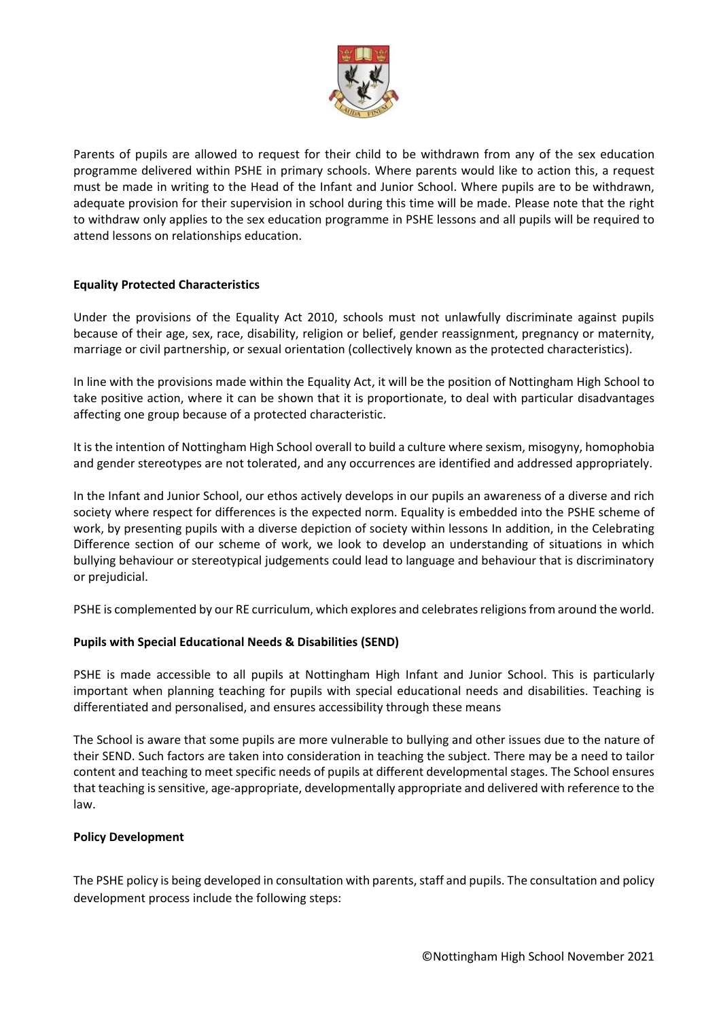

Parents of pupils are allowed to request for their child to be withdrawn from any of the sex education programme delivered within PSHE in primary schools. Where parents would like to action this, a request must be made in writing to the Head of the Infant and Junior School. Where pupils are to be withdrawn, adequate provision for their supervision in school during this time will be made. Please note that the right to withdraw only applies to the sex education programme in PSHE lessons and all pupils will be required to attend lessons on relationships education.

# **Equality Protected Characteristics**

Under the provisions of the Equality Act 2010, schools must not unlawfully discriminate against pupils because of their age, sex, race, disability, religion or belief, gender reassignment, pregnancy or maternity, marriage or civil partnership, or sexual orientation (collectively known as the protected characteristics).

In line with the provisions made within the Equality Act, it will be the position of Nottingham High School to take positive action, where it can be shown that it is proportionate, to deal with particular disadvantages affecting one group because of a protected characteristic.

It is the intention of Nottingham High School overall to build a culture where sexism, misogyny, homophobia and gender stereotypes are not tolerated, and any occurrences are identified and addressed appropriately.

In the Infant and Junior School, our ethos actively develops in our pupils an awareness of a diverse and rich society where respect for differences is the expected norm. Equality is embedded into the PSHE scheme of work, by presenting pupils with a diverse depiction of society within lessons In addition, in the Celebrating Difference section of our scheme of work, we look to develop an understanding of situations in which bullying behaviour or stereotypical judgements could lead to language and behaviour that is discriminatory or prejudicial.

PSHE is complemented by our RE curriculum, which explores and celebrates religions from around the world.

# **Pupils with Special Educational Needs & Disabilities (SEND)**

PSHE is made accessible to all pupils at Nottingham High Infant and Junior School. This is particularly important when planning teaching for pupils with special educational needs and disabilities. Teaching is differentiated and personalised, and ensures accessibility through these means

The School is aware that some pupils are more vulnerable to bullying and other issues due to the nature of their SEND. Such factors are taken into consideration in teaching the subject. There may be a need to tailor content and teaching to meet specific needs of pupils at different developmental stages. The School ensures that teaching is sensitive, age-appropriate, developmentally appropriate and delivered with reference to the law.

#### **Policy Development**

The PSHE policy is being developed in consultation with parents, staff and pupils. The consultation and policy development process include the following steps: